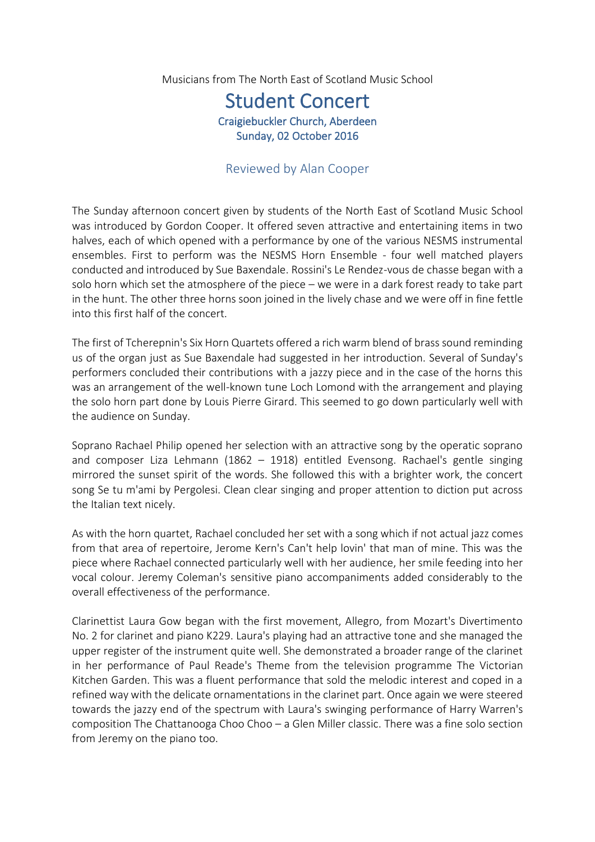Musicians from The North East of Scotland Music School

## Student Concert Craigiebuckler Church, Aberdeen Sunday, 02 October 2016

## Reviewed by Alan Cooper

The Sunday afternoon concert given by students of the North East of Scotland Music School was introduced by Gordon Cooper. It offered seven attractive and entertaining items in two halves, each of which opened with a performance by one of the various NESMS instrumental ensembles. First to perform was the NESMS Horn Ensemble - four well matched players conducted and introduced by Sue Baxendale. Rossini's Le Rendez-vous de chasse began with a solo horn which set the atmosphere of the piece – we were in a dark forest ready to take part in the hunt. The other three horns soon joined in the lively chase and we were off in fine fettle into this first half of the concert.

The first of Tcherepnin's Six Horn Quartets offered a rich warm blend of brass sound reminding us of the organ just as Sue Baxendale had suggested in her introduction. Several of Sunday's performers concluded their contributions with a jazzy piece and in the case of the horns this was an arrangement of the well-known tune Loch Lomond with the arrangement and playing the solo horn part done by Louis Pierre Girard. This seemed to go down particularly well with the audience on Sunday.

Soprano Rachael Philip opened her selection with an attractive song by the operatic soprano and composer Liza Lehmann (1862 – 1918) entitled Evensong. Rachael's gentle singing mirrored the sunset spirit of the words. She followed this with a brighter work, the concert song Se tu m'ami by Pergolesi. Clean clear singing and proper attention to diction put across the Italian text nicely.

As with the horn quartet, Rachael concluded her set with a song which if not actual jazz comes from that area of repertoire, Jerome Kern's Can't help lovin' that man of mine. This was the piece where Rachael connected particularly well with her audience, her smile feeding into her vocal colour. Jeremy Coleman's sensitive piano accompaniments added considerably to the overall effectiveness of the performance.

Clarinettist Laura Gow began with the first movement, Allegro, from Mozart's Divertimento No. 2 for clarinet and piano K229. Laura's playing had an attractive tone and she managed the upper register of the instrument quite well. She demonstrated a broader range of the clarinet in her performance of Paul Reade's Theme from the television programme The Victorian Kitchen Garden. This was a fluent performance that sold the melodic interest and coped in a refined way with the delicate ornamentations in the clarinet part. Once again we were steered towards the jazzy end of the spectrum with Laura's swinging performance of Harry Warren's composition The Chattanooga Choo Choo – a Glen Miller classic. There was a fine solo section from Jeremy on the piano too.